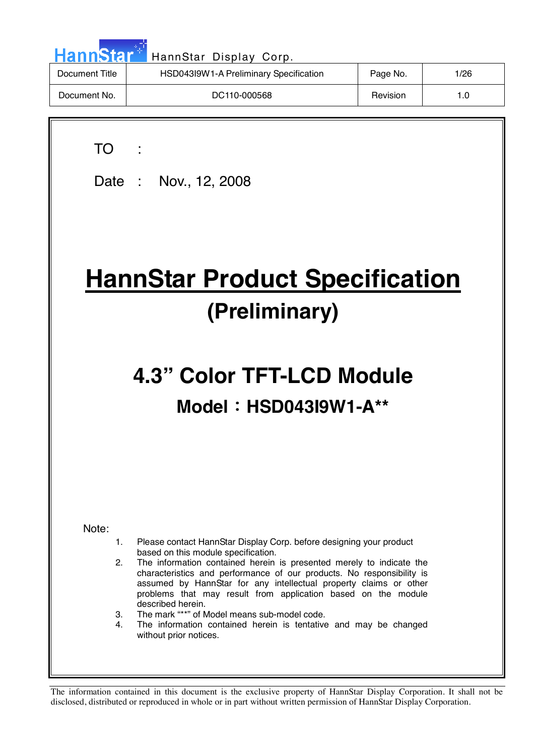| <b>HannStar</b> | HannStar Display Corp.                 |          |      |
|-----------------|----------------------------------------|----------|------|
| Document Title  | HSD043I9W1-A Preliminary Specification | Page No. | 1/26 |
| Document No.    | DC110-000568                           | Revision | 1.0  |
|                 |                                        |          |      |

| ×<br>۰. |  |
|---------|--|

 $\overline{\phantom{a}}$ 

Date : Nov., 12, 2008

# **HannStar Product Specification (Preliminary)**

# **4.3" Color TFT-LCD Module Model**!**HSD043I9W1-A\*\***

Note:

- 1. Please contact HannStar Display Corp. before designing your product based on this module specification.
- 2. The information contained herein is presented merely to indicate the characteristics and performance of our products. No responsibility is assumed by HannStar for any intellectual property claims or other problems that may result from application based on the module described herein.
- 3. The mark "\*\*" of Model means sub-model code.
- 4. The information contained herein is tentative and may be changed without prior notices.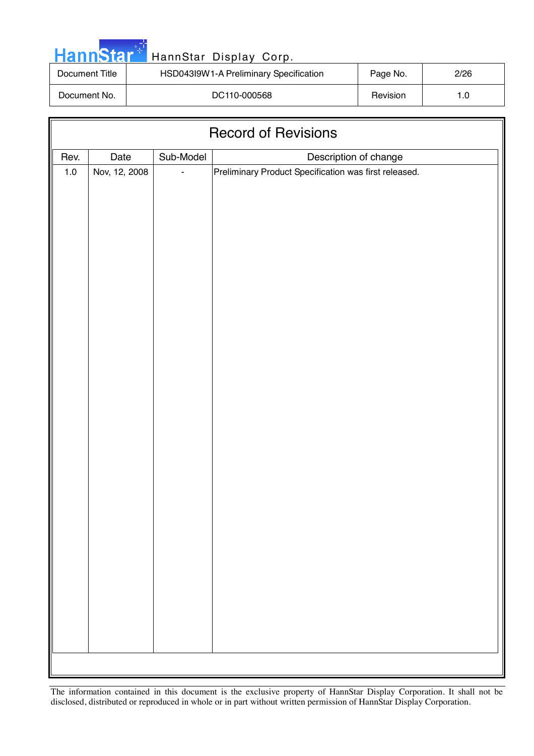| <b>HannStar</b> | HannStar Display Corp.                 |          |      |
|-----------------|----------------------------------------|----------|------|
| Document Title  | HSD043I9W1-A Preliminary Specification | Page No. | 2/26 |
| Document No.    | DC110-000568                           | Revision | 1.0  |

| <b>Record of Revisions</b> |               |           |                                                                                |  |  |
|----------------------------|---------------|-----------|--------------------------------------------------------------------------------|--|--|
| Rev.                       | Date          |           |                                                                                |  |  |
| $1.0\,$                    | Nov, 12, 2008 | Sub-Model | Description of change<br>Preliminary Product Specification was first released. |  |  |
|                            |               |           |                                                                                |  |  |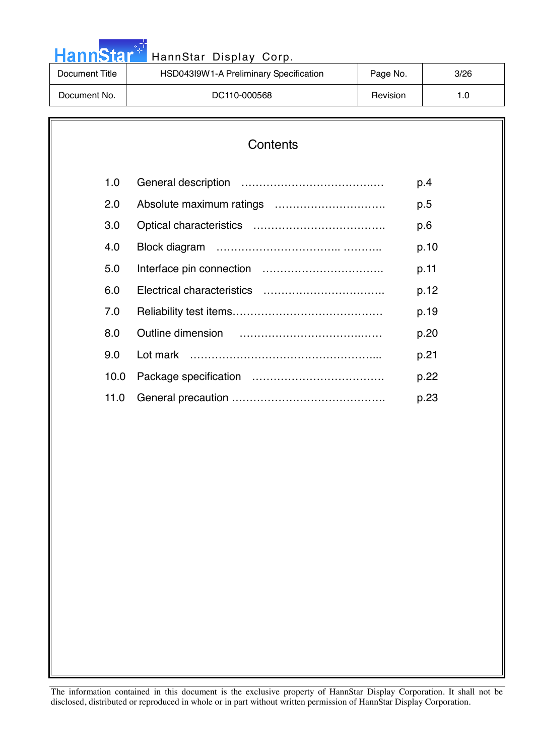| Document Title |                                                    |      |
|----------------|----------------------------------------------------|------|
|                | HSD043I9W1-A Preliminary Specification<br>Page No. | 3/26 |
| Document No.   | DC110-000568<br>Revision                           | 1.0  |

والواري

| Contents |
|----------|
|----------|

| 1.0  | p.4  |
|------|------|
| 2.0  | p.5  |
| 3.0  | p.6  |
| 4.0  | p.10 |
| 5.0  | p.11 |
| 6.0  | p.12 |
| 7.0  | p.19 |
| 8.0  | p.20 |
| 9.0  | p.21 |
| 10.0 | p.22 |
| 11.0 | p.23 |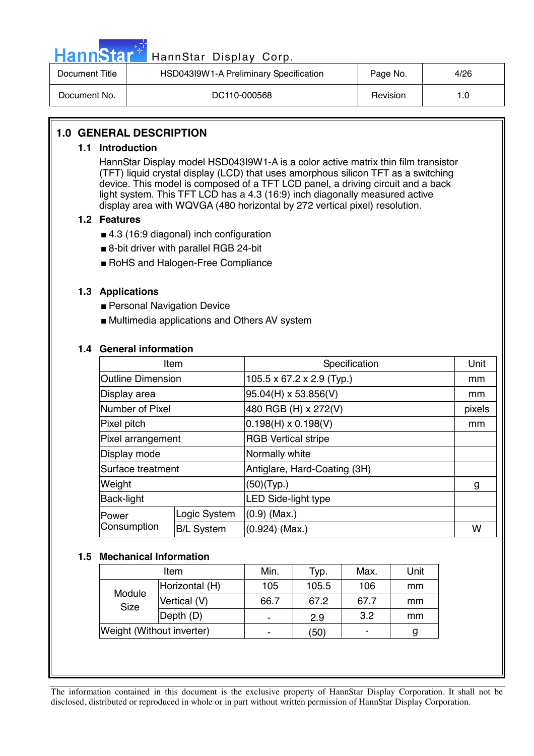|--|

# HannStar Display Corp.

| Document Title | HSD043I9W1-A Preliminary Specification | Page No. | 4/26 |
|----------------|----------------------------------------|----------|------|
| Document No.   | DC110-000568                           | Revision |      |

## **1.0 GENERAL DESCRIPTION**

#### **1.1 Introduction**

HannStar Display model HSD043I9W1-A is a color active matrix thin film transistor (TFT) liquid crystal display (LCD) that uses amorphous silicon TFT as a switching device. This model is composed of a TFT LCD panel, a driving circuit and a back light system. This TFT LCD has a 4.3 (16:9) inch diagonally measured active display area with WQVGA (480 horizontal by 272 vertical pixel) resolution.

#### **1.2 Features**

- 4.3 (16:9 diagonal) inch configuration
- 8-bit driver with parallel RGB 24-bit
- RoHS and Halogen-Free Compliance

#### **1.3 Applications**

- Personal Navigation Device
- Multimedia applications and Others AV system

#### **1.4 General information**

| Item                     |                   | Specification                         | Unit   |
|--------------------------|-------------------|---------------------------------------|--------|
| <b>Outline Dimension</b> |                   | $105.5 \times 67.2 \times 2.9$ (Typ.) | mm     |
| Display area             |                   | $95.04(H) \times 53.856(V)$           | mm     |
| Number of Pixel          |                   | 480 RGB (H) x 272(V)                  | pixels |
| Pixel pitch              |                   | $0.198(H) \times 0.198(V)$            | mm     |
| Pixel arrangement        |                   | <b>RGB Vertical stripe</b>            |        |
| Display mode             |                   | Normally white                        |        |
| Surface treatment        |                   | Antiglare, Hard-Coating (3H)          |        |
| Weight                   |                   | (50)(Type.)                           | g      |
| Back-light               |                   | LED Side-light type                   |        |
| Power                    | Logic System      | $(0.9)$ (Max.)                        |        |
| Consumption              | <b>B/L System</b> | $(0.924)$ (Max.)                      | W      |

#### **1.5 Mechanical Information**

| Item                      |              | Min. | Typ.  | Max.           | Unit |
|---------------------------|--------------|------|-------|----------------|------|
| Horizontal (H)            |              | 105  | 105.5 | 106            | mm   |
| Module<br>Size            | Vertical (V) | 66.7 | 67.2  | 67.7           | mm   |
|                           | Depth (D)    |      | 2.9   | 3.2            | mm   |
| Weight (Without inverter) |              |      | (50)  | $\blacksquare$ | g    |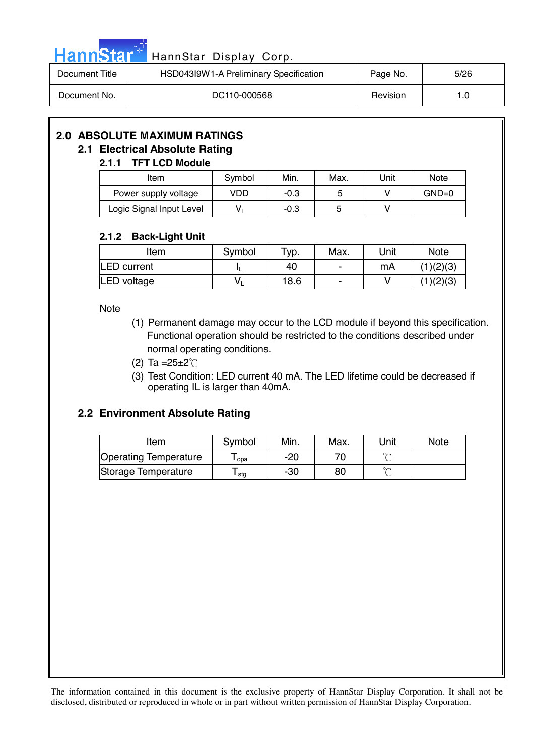|  | HannStar <sup>+</sup> HannStar Display Corp. |  |
|--|----------------------------------------------|--|
|  |                                              |  |

| Document Title | HSD043I9W1-A Preliminary Specification | Page No. | 5/26 |
|----------------|----------------------------------------|----------|------|
| Document No.   | DC110-000568                           | Revision | 1.0  |

# **2.0 ABSOLUTE MAXIMUM RATINGS**

# **2.1 Electrical Absolute Rating**

# **2.1.1 TFT LCD Module**

| Item                     | Symbol | Min.   | Max. | Unit | <b>Note</b> |
|--------------------------|--------|--------|------|------|-------------|
| Power supply voltage     | VDD    | $-0.3$ |      |      | $GND=0$     |
| Logic Signal Input Level |        | $-0.3$ |      |      |             |

## **2.1.2 Back-Light Unit**

| Item               | Symbol | $TVD$ . | Max. | Unit | <b>Note</b> |
|--------------------|--------|---------|------|------|-------------|
| <b>LED</b> current |        | 40      |      | mA   | (1)(2)(3)   |
| LED voltage        |        | 18.6    | -    |      | (1)(2)(3)   |

Note

- (1) Permanent damage may occur to the LCD module if beyond this specification. Functional operation should be restricted to the conditions described under normal operating conditions.
- (2) Ta =  $25 \pm 2^{\circ}$  C
- (3) Test Condition: LED current 40 mA. The LED lifetime could be decreased if operating IL is larger than 40mA.

# **2.2 Environment Absolute Rating**

| Item                         | Symbol | Min. | Max. | Unit   | <b>Note</b> |
|------------------------------|--------|------|------|--------|-------------|
| <b>Operating Temperature</b> | opa    | -20  |      | $\sim$ |             |
| Storage Temperature          | stg    | -30  | 80   | $\sim$ |             |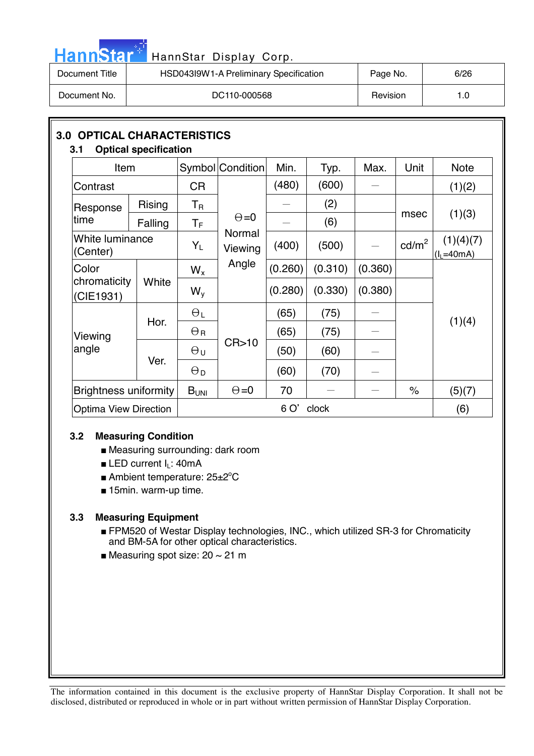| HannStar <sup>*</sup> l | HannStar Display Corp.                 |          |      |
|-------------------------|----------------------------------------|----------|------|
| Document Title          | HSD043I9W1-A Preliminary Specification | Page No. | 6/26 |
| Document No.            | DC110-000568                           | Revision | 1.0  |

| <b>OPTICAL CHARACTERISTICS</b><br>3.0<br><b>Optical specification</b><br>3.1 |         |                         |                   |         |         |         |                 |                           |
|------------------------------------------------------------------------------|---------|-------------------------|-------------------|---------|---------|---------|-----------------|---------------------------|
| Item                                                                         |         |                         | Symbol Condition  | Min.    | Typ.    | Max.    | Unit            | <b>Note</b>               |
| Contrast                                                                     |         | <b>CR</b>               |                   | (480)   | (600)   |         |                 | (1)(2)                    |
| Response                                                                     | Rising  | $\mathsf T_{\mathsf R}$ |                   |         | (2)     |         |                 |                           |
| time                                                                         | Falling | $T_F$                   | $\Theta = 0$      |         | (6)     |         | msec            | (1)(3)                    |
| White luminance<br>(Center)                                                  |         | $Y_L$                   | Normal<br>Viewing | (400)   | (500)   |         | $\text{cd/m}^2$ | (1)(4)(7)<br>$(I_L=40mA)$ |
| Color                                                                        |         |                         | Angle             | (0.260) | (0.310) | (0.360) |                 |                           |
| chromaticity<br>(CIE1931)                                                    | White   | $W_{V}$                 |                   | (0.280) | (0.330) | (0.380) |                 |                           |
|                                                                              | Hor.    | $\Theta_L$              |                   | (65)    | (75)    |         |                 | (1)(4)                    |
| Viewing                                                                      |         | $\Theta_{\mathsf{R}}$   |                   | (65)    | (75)    |         |                 |                           |
| angle                                                                        | Ver.    | $\Theta$ u              | CR > 10           | (50)    | (60)    |         |                 |                           |
|                                                                              |         | $\Theta_{\mathsf{D}}$   |                   | (60)    | (70)    |         |                 |                           |
| <b>Brightness uniformity</b>                                                 |         | B <sub>UNI</sub>        | $\Theta = 0$      | 70      |         |         | $\%$            | (5)(7)                    |
| <b>Optima View Direction</b>                                                 |         |                         | 6 O'<br>clock     |         |         |         |                 |                           |

#### **3.2 Measuring Condition**

m.

- Measuring surrounding: dark room
- LED current I<sub>L</sub>: 40mA
- Ambient temperature: 25±2°C
- 15min. warm-up time.

#### **3.3 Measuring Equipment**

- FPM520 of Westar Display technologies, INC., which utilized SR-3 for Chromaticity and BM-5A for other optical characteristics.
- Measuring spot size:  $20 \sim 21$  m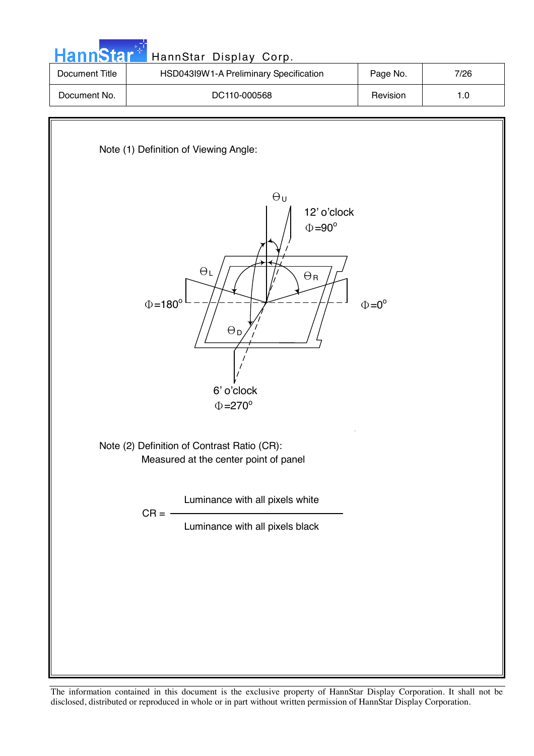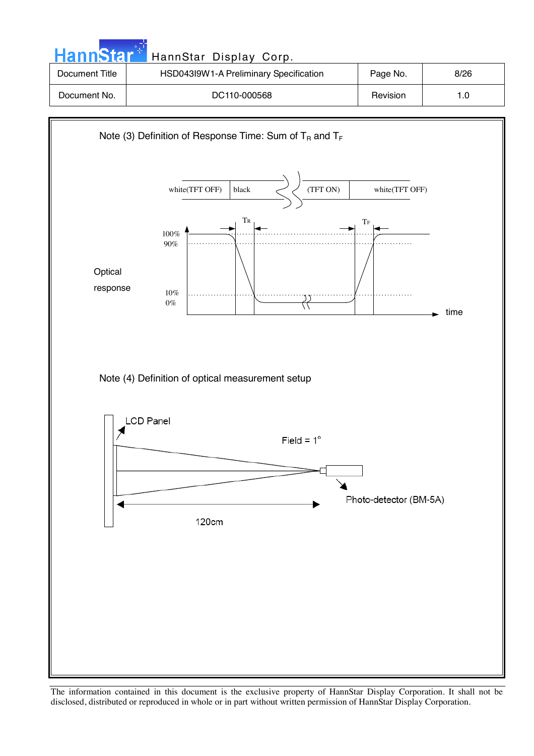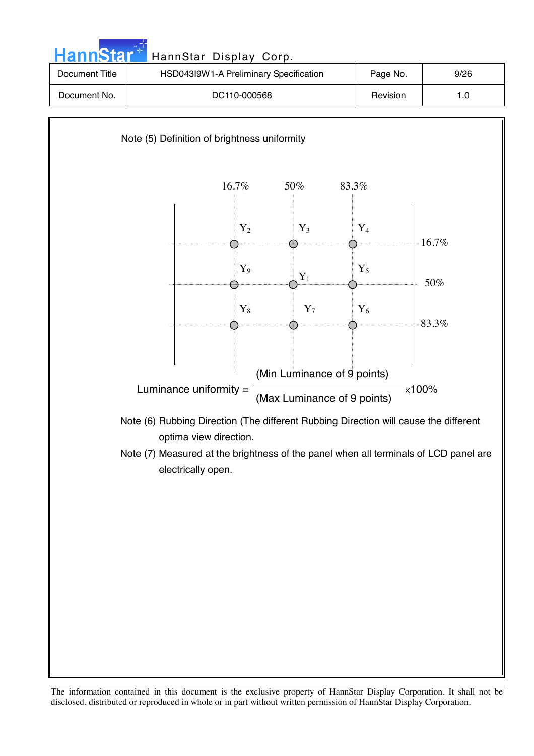

The information contained in this document is the exclusive property of HannStar Display Corporation. It shall not be disclosed, distributed or reproduced in whole or in part without written permission of HannStar Display Corporation.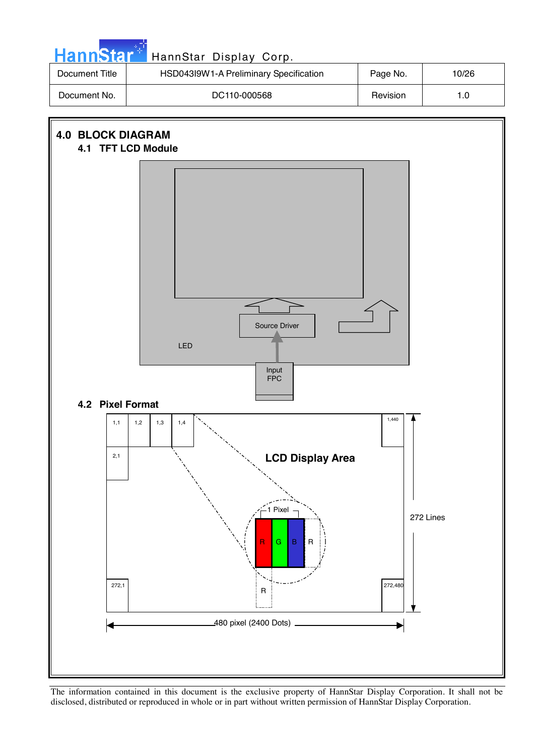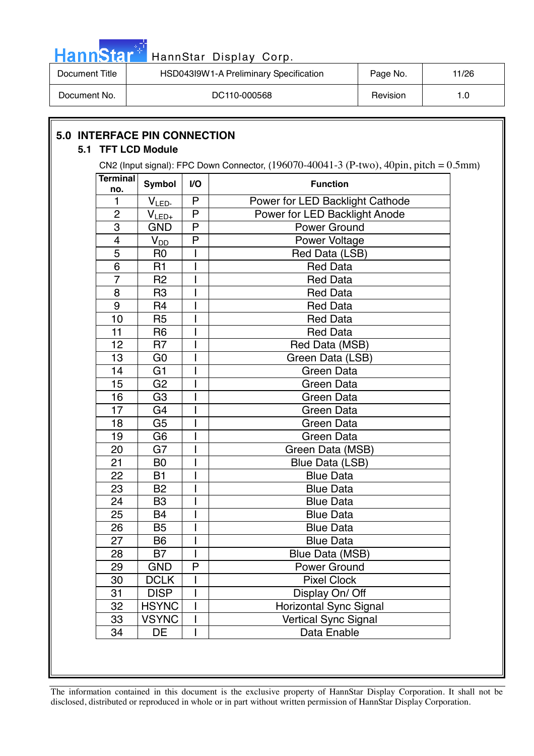|  |  | <b>HannStar</b> |  |
|--|--|-----------------|--|
|  |  |                 |  |
|  |  |                 |  |

# HannStar Display Corp.

| Document Title | HSD043I9W1-A Preliminary Specification | Page No. | 11/26 |
|----------------|----------------------------------------|----------|-------|
| Document No.   | DC110-000568                           | Revision | 0. ا  |

# **5.0 INTERFACE PIN CONNECTION**

#### **5.1 TFT LCD Module**

CN2 (Input signal): FPC Down Connector,  $(196070-40041-3$  (P-two),  $40\text{pin}$ , pitch =  $0.5\text{mm}$ )

| <b>Terminal</b><br>no. | <b>Symbol</b>  | V <sub>O</sub>           | <b>Function</b>                 |  |  |
|------------------------|----------------|--------------------------|---------------------------------|--|--|
| 1                      | $V_{LED}$      | P                        | Power for LED Backlight Cathode |  |  |
| $\overline{2}$         | $V_{LED+}$     | P                        | Power for LED Backlight Anode   |  |  |
| 3                      | <b>GND</b>     | P                        | <b>Power Ground</b>             |  |  |
| 4                      | $V_{DD}$       | P                        | Power Voltage                   |  |  |
| 5                      | R <sub>0</sub> |                          | Red Data (LSB)                  |  |  |
| 6                      | R1             |                          | <b>Red Data</b>                 |  |  |
| $\overline{7}$         | R <sub>2</sub> | $\overline{\phantom{a}}$ | <b>Red Data</b>                 |  |  |
| 8                      | R <sub>3</sub> | I                        | <b>Red Data</b>                 |  |  |
| 9                      | R <sub>4</sub> |                          | <b>Red Data</b>                 |  |  |
| 10                     | R <sub>5</sub> |                          | <b>Red Data</b>                 |  |  |
| 11                     | R <sub>6</sub> |                          | <b>Red Data</b>                 |  |  |
| 12                     | R <sub>7</sub> |                          | Red Data (MSB)                  |  |  |
| 13                     | G <sub>0</sub> |                          | Green Data (LSB)                |  |  |
| 14                     | G <sub>1</sub> | I                        | <b>Green Data</b>               |  |  |
| 15                     | G <sub>2</sub> |                          | <b>Green Data</b>               |  |  |
| 16                     | G <sub>3</sub> |                          | Green Data                      |  |  |
| 17                     | G <sub>4</sub> | I                        | Green Data                      |  |  |
| 18                     | G <sub>5</sub> |                          | Green Data                      |  |  |
| 19                     | G <sub>6</sub> |                          | Green Data                      |  |  |
| 20                     | G7             |                          | Green Data (MSB)                |  |  |
| 21                     | B <sub>0</sub> |                          | Blue Data (LSB)                 |  |  |
| 22                     | <b>B1</b>      |                          | <b>Blue Data</b>                |  |  |
| 23                     | B <sub>2</sub> |                          | <b>Blue Data</b>                |  |  |
| 24                     | B <sub>3</sub> |                          | <b>Blue Data</b>                |  |  |
| 25                     | <b>B4</b>      |                          | <b>Blue Data</b>                |  |  |
| 26                     | <b>B5</b>      | I                        | <b>Blue Data</b>                |  |  |
| 27                     | <b>B6</b>      | I                        | <b>Blue Data</b>                |  |  |
| 28                     | <b>B7</b>      | $\mathbf{I}$             | Blue Data (MSB)                 |  |  |
| 29                     | <b>GND</b>     | P                        | <b>Power Ground</b>             |  |  |
| 30                     | <b>DCLK</b>    |                          | <b>Pixel Clock</b>              |  |  |
| 31                     | <b>DISP</b>    | $\overline{1}$           | Display On/ Off                 |  |  |
| $\overline{32}$        | <b>HSYNC</b>   | $\overline{1}$           | Horizontal Sync Signal          |  |  |
| 33                     | <b>VSYNC</b>   | $\mathbf{I}$             | <b>Vertical Sync Signal</b>     |  |  |
| 34                     | <b>DE</b>      |                          | Data Enable                     |  |  |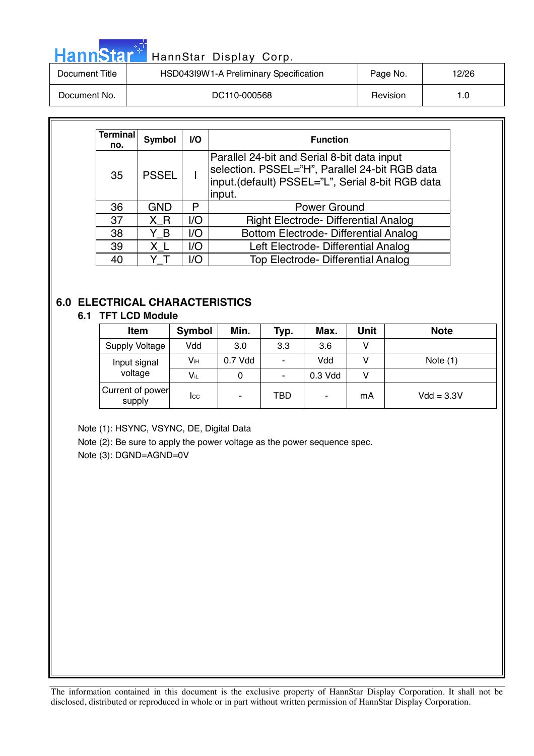| <b>HannStar</b> * | HannStar Display Corp.                 |          |       |
|-------------------|----------------------------------------|----------|-------|
| Document Title    | HSD043I9W1-A Preliminary Specification | Page No. | 12/26 |
| Document No.      | DC110-000568                           | Revision | 1.0   |

| Terminal<br>no. | Symbol       | VO. | <b>Function</b>                                                                                                                                             |  |  |  |  |
|-----------------|--------------|-----|-------------------------------------------------------------------------------------------------------------------------------------------------------------|--|--|--|--|
| 35              | <b>PSSEL</b> |     | Parallel 24-bit and Serial 8-bit data input<br>selection. PSSEL="H", Parallel 24-bit RGB data<br>input.(default) PSSEL="L", Serial 8-bit RGB data<br>input. |  |  |  |  |
| 36              | GND          | P   | Power Ground                                                                                                                                                |  |  |  |  |
| 37              | X R          | 1/O | <b>Right Electrode- Differential Analog</b>                                                                                                                 |  |  |  |  |
| 38              | ΥB           | 1/O | Bottom Electrode- Differential Analog                                                                                                                       |  |  |  |  |
| 39              | ΧL           | 1/O | Left Electrode- Differential Analog                                                                                                                         |  |  |  |  |
| 40              |              | I/O | Top Electrode- Differential Analog                                                                                                                          |  |  |  |  |

# **6.0 ELECTRICAL CHARACTERISTICS**

#### **6.1 TFT LCD Module**

| Item                       | <b>Symbol</b> | Min.    | Typ. | Max.    | Unit | <b>Note</b>  |
|----------------------------|---------------|---------|------|---------|------|--------------|
| <b>Supply Voltage</b>      | Vdd           | 3.0     | 3.3  | 3.6     | V    |              |
| Input signal               | Vін           | 0.7 Vdd | ٠    | Vdd     | v    | Note $(1)$   |
| voltage                    | Vi∟           | 0       | ٠    | 0.3 Vdd | v    |              |
| Current of power<br>supply | Icc           | ٠       | TBD  | ۰       | mA   | $Vdd = 3.3V$ |

Note (1): HSYNC, VSYNC, DE, Digital Data

Note (2): Be sure to apply the power voltage as the power sequence spec.

Note (3): DGND=AGND=0V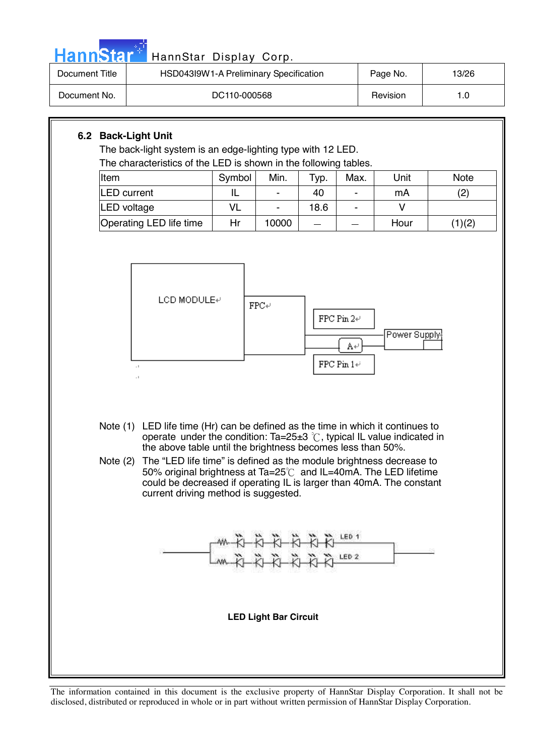| HannStar <sup>®</sup>                                                                                                                                                                                                                                                                                                                                                                                                                                                                                                                         | HannStar Display Corp.                                                                                                                                                                                                 |                          |                                 |                    |                                  |                              |                              |
|-----------------------------------------------------------------------------------------------------------------------------------------------------------------------------------------------------------------------------------------------------------------------------------------------------------------------------------------------------------------------------------------------------------------------------------------------------------------------------------------------------------------------------------------------|------------------------------------------------------------------------------------------------------------------------------------------------------------------------------------------------------------------------|--------------------------|---------------------------------|--------------------|----------------------------------|------------------------------|------------------------------|
| <b>Document Title</b>                                                                                                                                                                                                                                                                                                                                                                                                                                                                                                                         | HSD043I9W1-A Preliminary Specification                                                                                                                                                                                 |                          |                                 |                    |                                  | Page No.                     | 13/26                        |
| Document No.                                                                                                                                                                                                                                                                                                                                                                                                                                                                                                                                  |                                                                                                                                                                                                                        | DC110-000568             |                                 |                    |                                  | Revision                     | 1.0                          |
| Item                                                                                                                                                                                                                                                                                                                                                                                                                                                                                                                                          | 6.2 Back-Light Unit<br>The back-light system is an edge-lighting type with 12 LED.<br>The characteristics of the LED is shown in the following tables.<br><b>LED</b> current<br>LED voltage<br>Operating LED life time | Symbol<br>IL<br>VL<br>Hr | Min.<br>$\blacksquare$<br>10000 | Typ.<br>40<br>18.6 | Max.<br>$\overline{\phantom{a}}$ | Unit<br>mA<br>$\vee$<br>Hour | <b>Note</b><br>(2)<br>(1)(2) |
|                                                                                                                                                                                                                                                                                                                                                                                                                                                                                                                                               | LCD MODULE₽<br>$\texttt{FPC}\xspace\downarrow$<br>FPC Pin $2+$<br>Power Supply-<br>A∉<br>FPC Pin $1+\,$<br>$\cdot$ I                                                                                                   |                          |                                 |                    |                                  |                              |                              |
| LED life time (Hr) can be defined as the time in which it continues to<br>Note $(1)$<br>operate under the condition: Ta=25 $\pm$ 3 °C, typical IL value indicated in<br>the above table until the brightness becomes less than 50%.<br>The "LED life time" is defined as the module brightness decrease to<br>Note $(2)$<br>50% original brightness at Ta=25℃ and IL=40mA. The LED lifetime<br>could be decreased if operating IL is larger than 40mA. The constant<br>current driving method is suggested.<br>$+0+0+0+0$<br>LED <sub>2</sub> |                                                                                                                                                                                                                        |                          |                                 |                    |                                  |                              |                              |
|                                                                                                                                                                                                                                                                                                                                                                                                                                                                                                                                               | <b>LED Light Bar Circuit</b>                                                                                                                                                                                           |                          |                                 |                    |                                  |                              |                              |
|                                                                                                                                                                                                                                                                                                                                                                                                                                                                                                                                               |                                                                                                                                                                                                                        |                          |                                 |                    |                                  |                              |                              |

المالي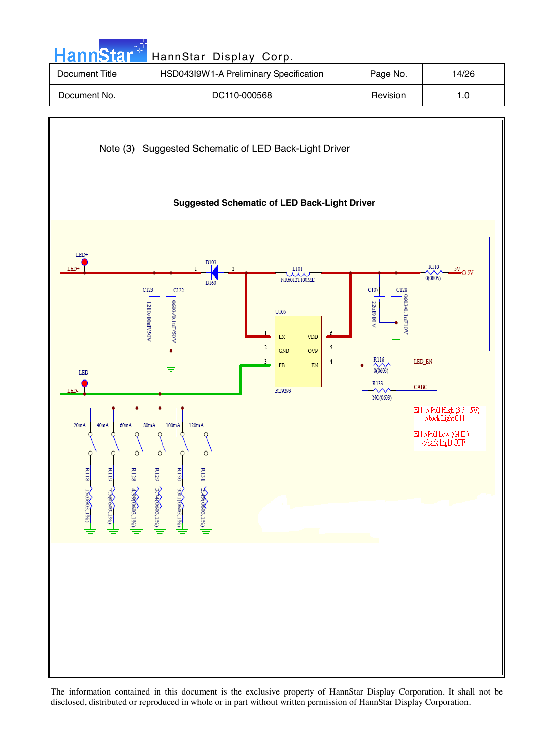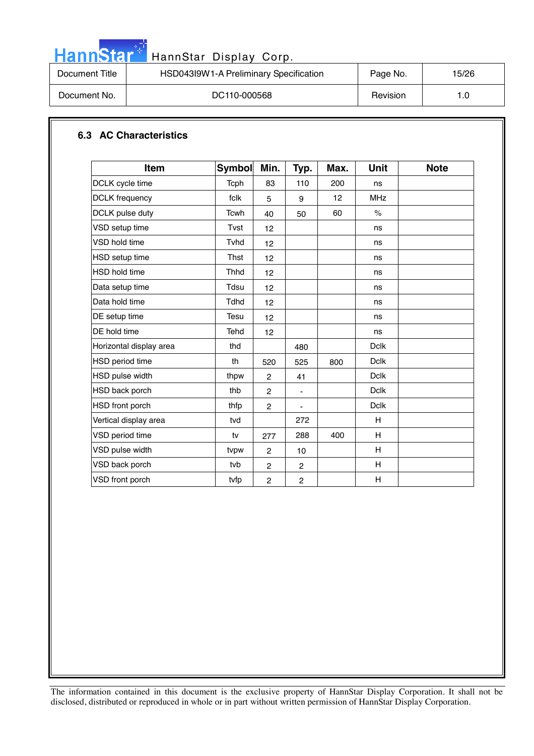| ann<br>D) |
|-----------|
|-----------|

# HannStar Display Corp.

| HannStar <sup>**</sup> | HannStar Display Corp.                 |          |       |
|------------------------|----------------------------------------|----------|-------|
| Document Title         | HSD043I9W1-A Preliminary Specification | Page No. | 15/26 |
| Document No.           | DC110-000568                           | Revision | 1.0   |

### **6.3 AC Characteristics**

| <b>Item</b>             | <b>Symbol</b> | Min.           | Typ.           | Max. | <b>Unit</b> | <b>Note</b> |
|-------------------------|---------------|----------------|----------------|------|-------------|-------------|
| DCLK cycle time         | Tcph          | 83             | 110            | 200  | ns          |             |
| <b>DCLK</b> frequency   | fclk          | 5              | 9              | 12   | <b>MHz</b>  |             |
| DCLK pulse duty         | Tcwh          | 40             | 50             | 60   | $\%$        |             |
| VSD setup time          | Tvst          | 12             |                |      | ns          |             |
| <b>VSD hold time</b>    | Tvhd          | 12             |                |      | ns          |             |
| HSD setup time          | Thst          | 12             |                |      | ns          |             |
| <b>HSD hold time</b>    | <b>Thhd</b>   | 12             |                |      | ns          |             |
| Data setup time         | Tdsu          | 12             |                |      | ns          |             |
| Data hold time          | <b>Tdhd</b>   | 12             |                |      | ns          |             |
| DE setup time           | Tesu          | 12             |                |      | ns          |             |
| DE hold time            | Tehd          | 12             |                |      | ns          |             |
| Horizontal display area | thd           |                | 480            |      | <b>Dclk</b> |             |
| HSD period time         | th            | 520            | 525            | 800  | <b>Dclk</b> |             |
| HSD pulse width         | thpw          | $\overline{c}$ | 41             |      | <b>Dclk</b> |             |
| HSD back porch          | thb           | $\overline{c}$ | ٠              |      | <b>Dclk</b> |             |
| HSD front porch         | thfp          | $\overline{2}$ | $\blacksquare$ |      | <b>Dclk</b> |             |
| Vertical display area   | tvd           |                | 272            |      | H           |             |
| VSD period time         | tv            | 277            | 288            | 400  | H           |             |
| VSD pulse width         | tvpw          | $\overline{c}$ | 10             |      | H           |             |
| VSD back porch          | tvb           | $\overline{c}$ | $\overline{c}$ |      | H           |             |
| VSD front porch         | tvfp          | $\overline{2}$ | $\overline{c}$ |      | H           |             |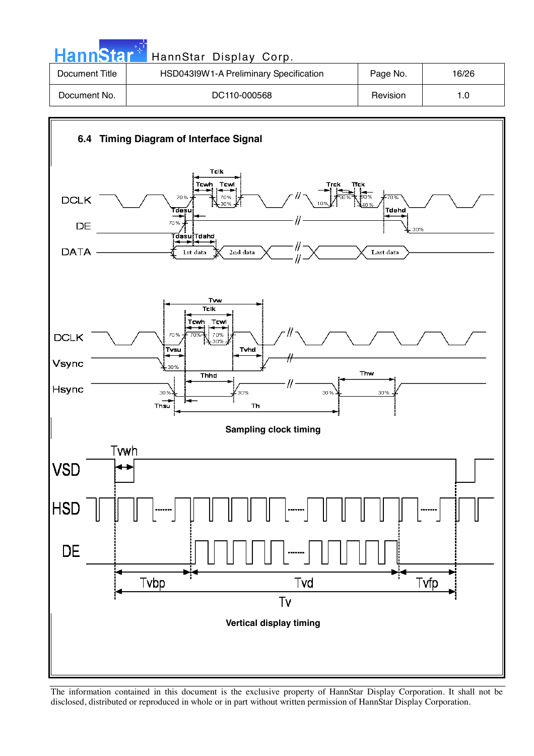| <b>HannStart</b> | HannStar Display Corp.                 |          |       |
|------------------|----------------------------------------|----------|-------|
| Document Title   | HSD043l9W1-A Preliminary Specification | Page No. | 16/26 |
| Document No.     | DC110-000568                           | Revision | 1.0   |
|                  |                                        |          |       |

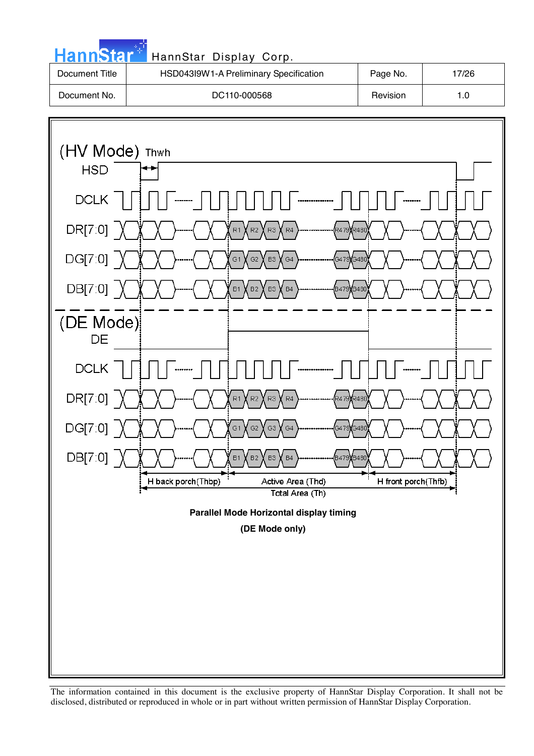

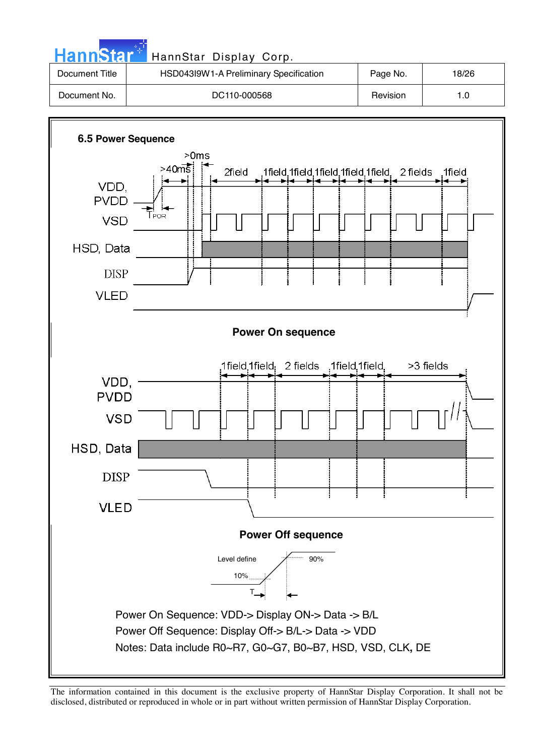| <b>HannStar</b> | HannStar Display Corp.                 |          |       |
|-----------------|----------------------------------------|----------|-------|
| Document Title  | HSD043l9W1-A Preliminary Specification | Page No. | 18/26 |
| Document No.    | DC110-000568                           | Revision | 1.0   |
|                 |                                        |          |       |

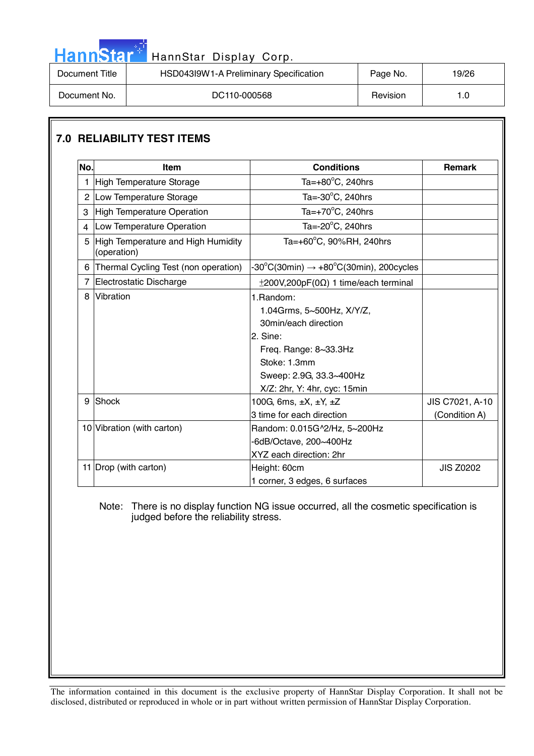|                | HannStar <sup>#</sup> HannStar Display Corp. |          |       |
|----------------|----------------------------------------------|----------|-------|
| Document Title | HSD043I9W1-A Preliminary Specification       | Page No. | 19/26 |
| Document No.   | DC110-000568                                 | Revision | 1.0   |

# **7.0 RELIABILITY TEST ITEMS**

والمراد

| No.            | <b>Item</b>                                                                  | <b>Conditions</b>                                                                                                                                                                | <b>Remark</b>                    |
|----------------|------------------------------------------------------------------------------|----------------------------------------------------------------------------------------------------------------------------------------------------------------------------------|----------------------------------|
| 1              | High Temperature Storage                                                     | Ta= $+80^{\circ}$ C, 240hrs                                                                                                                                                      |                                  |
| $\overline{c}$ | Low Temperature Storage                                                      | Ta= $-30^{\circ}$ C, 240hrs                                                                                                                                                      |                                  |
| 3              | High Temperature Operation                                                   | Ta= $+70^{\circ}$ C, 240hrs                                                                                                                                                      |                                  |
| $\overline{4}$ | Ta= $-20^{\circ}$ C, 240hrs<br>Low Temperature Operation                     |                                                                                                                                                                                  |                                  |
| 5              | Ta=+60°C, 90%RH, 240hrs<br>High Temperature and High Humidity<br>(operation) |                                                                                                                                                                                  |                                  |
| 6              | Thermal Cycling Test (non operation)                                         | $-30^{\circ}$ C(30min) $\rightarrow +80^{\circ}$ C(30min), 200cycles                                                                                                             |                                  |
| 7              | Electrostatic Discharge<br>$\pm 200V, 200pF(0\Omega)$ 1 time/each terminal   |                                                                                                                                                                                  |                                  |
| 8              | <b>Vibration</b>                                                             | 1.Random:<br>1.04Grms, 5~500Hz, X/Y/Z,<br>30min/each direction<br>$2.$ Sine:<br>Freq. Range: 8~33.3Hz<br>Stoke: 1.3mm<br>Sweep: 2.9G, 33.3~400Hz<br>X/Z: 2hr, Y: 4hr, cyc: 15min |                                  |
| 9              | Shock                                                                        | 100G, 6ms, ±X, ±Y, ±Z<br>3 time for each direction                                                                                                                               | JIS C7021, A-10<br>(Condition A) |
|                | 10 Vibration (with carton)                                                   | Random: 0.015G^2/Hz, 5~200Hz<br>-6dB/Octave, 200~400Hz<br>XYZ each direction: 2hr                                                                                                |                                  |
|                | 11 Drop (with carton)                                                        | Height: 60cm<br>1 corner, 3 edges, 6 surfaces                                                                                                                                    | <b>JIS Z0202</b>                 |

#### Note: There is no display function NG issue occurred, all the cosmetic specification is judged before the reliability stress.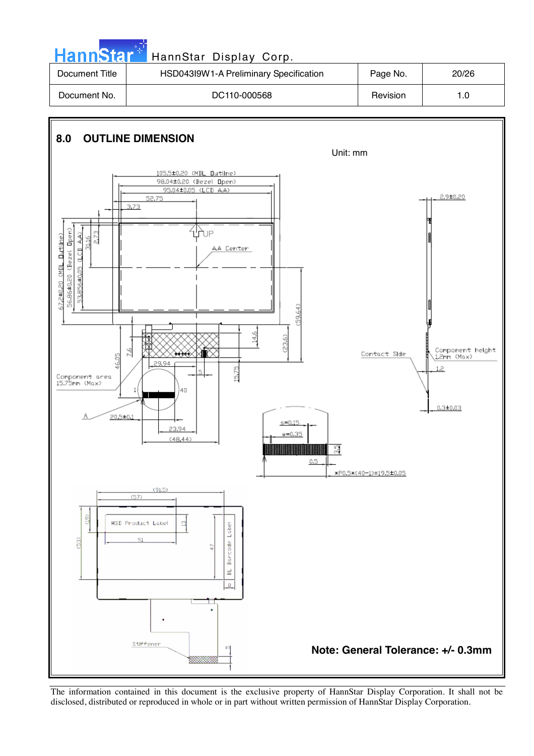

The information contained in this document is the exclusive property of HannStar Display Corporation. It shall not be disclosed, distributed or reproduced in whole or in part without written permission of HannStar Display Corporation.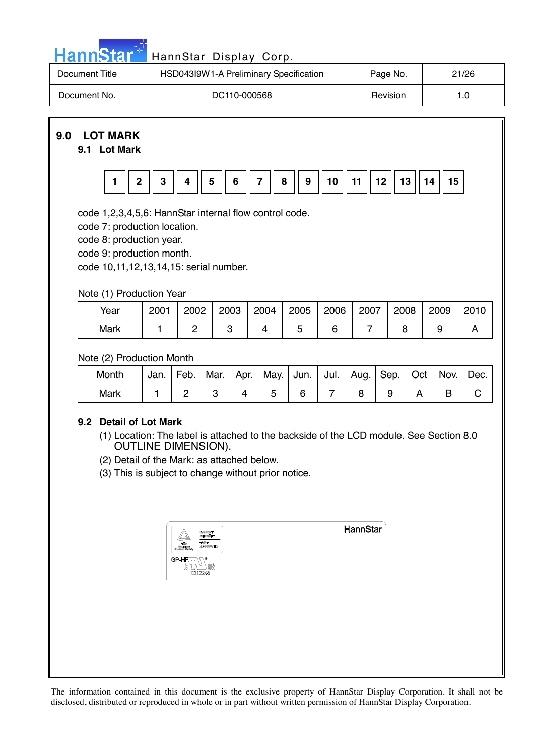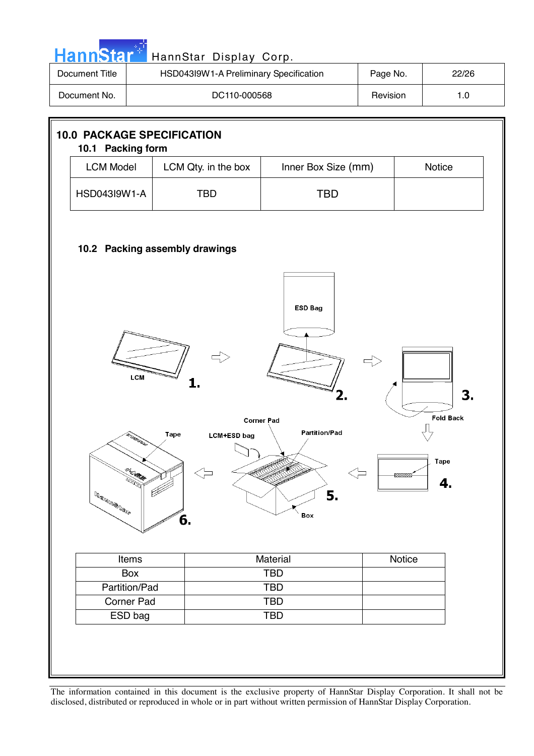| Document Title                                                                                                                                                                                             |                       | HSD043I9W1-A Preliminary Specification |                          | Page No. |        | 22/26 |  |
|------------------------------------------------------------------------------------------------------------------------------------------------------------------------------------------------------------|-----------------------|----------------------------------------|--------------------------|----------|--------|-------|--|
| Document No.                                                                                                                                                                                               |                       | DC110-000568                           |                          | Revision |        | 1.0   |  |
| 10.1 Packing form                                                                                                                                                                                          |                       | <b>10.0 PACKAGE SPECIFICATION</b>      |                          |          |        |       |  |
| <b>LCM Model</b>                                                                                                                                                                                           |                       | LCM Qty. in the box                    | Inner Box Size (mm)      |          | Notice |       |  |
| HSD043I9W1-A                                                                                                                                                                                               |                       | <b>TBD</b>                             | <b>TBD</b>               |          |        |       |  |
| 10.2 Packing assembly drawings<br><b>ESD Bag</b><br><b>LCM</b><br>1.<br>3.<br>2.<br><b>Fold Back</b><br><b>Corner Pad</b><br><b>Partition/Pad</b><br>Tape<br><b>LCM+ESD</b> bag<br>n Called<br><b>Tape</b> |                       |                                        |                          |          |        |       |  |
|                                                                                                                                                                                                            | THE WORK              | $\leq$                                 | ⊲⇒                       |          | 88888  | 4.    |  |
|                                                                                                                                                                                                            |                       | 6.                                     | 5.<br>Box                |          |        |       |  |
|                                                                                                                                                                                                            | Items                 |                                        | Material                 |          | Notice |       |  |
|                                                                                                                                                                                                            | Box                   |                                        | <b>TBD</b>               |          |        |       |  |
|                                                                                                                                                                                                            | Partition/Pad         |                                        | <b>TBD</b>               |          |        |       |  |
|                                                                                                                                                                                                            | Corner Pad<br>ESD bag |                                        | <b>TBD</b><br><b>TBD</b> |          |        |       |  |

I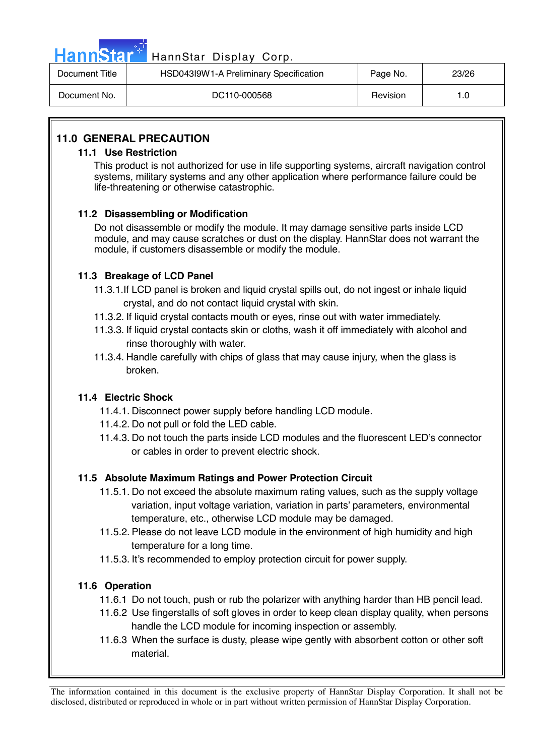|                | HannStar <sup>#</sup> HannStar Display Corp. |          |       |
|----------------|----------------------------------------------|----------|-------|
| Document Title | HSD043I9W1-A Preliminary Specification       | Page No. | 23/26 |

| Document Title | <b>HODDAMING HEATHER HEATHER</b> SPECIFICATION | Page No. | 23/20 |
|----------------|------------------------------------------------|----------|-------|
| Document No.   | DC110-000568                                   | Revision |       |

# **11.0 GENERAL PRECAUTION**

#### **11.1 Use Restriction**

This product is not authorized for use in life supporting systems, aircraft navigation control systems, military systems and any other application where performance failure could be life-threatening or otherwise catastrophic.

## **11.2 Disassembling or Modification**

 Do not disassemble or modify the module. It may damage sensitive parts inside LCD module, and may cause scratches or dust on the display. HannStar does not warrant the module, if customers disassemble or modify the module.

## **11.3 Breakage of LCD Panel**

- 11.3.1.If LCD panel is broken and liquid crystal spills out, do not ingest or inhale liquid crystal, and do not contact liquid crystal with skin.
- 11.3.2. If liquid crystal contacts mouth or eyes, rinse out with water immediately.
- 11.3.3. If liquid crystal contacts skin or cloths, wash it off immediately with alcohol and rinse thoroughly with water.
- 11.3.4. Handle carefully with chips of glass that may cause injury, when the glass is broken.

# **11.4 Electric Shock**

- 11.4.1. Disconnect power supply before handling LCD module.
- 11.4.2. Do not pull or fold the LED cable.
- 11.4.3. Do not touch the parts inside LCD modules and the fluorescent LED's connector or cables in order to prevent electric shock.

# **11.5 Absolute Maximum Ratings and Power Protection Circuit**

- 11.5.1. Do not exceed the absolute maximum rating values, such as the supply voltage variation, input voltage variation, variation in parts' parameters, environmental temperature, etc., otherwise LCD module may be damaged.
- 11.5.2. Please do not leave LCD module in the environment of high humidity and high temperature for a long time.
- 11.5.3. It's recommended to employ protection circuit for power supply.

# **11.6 Operation**

- 11.6.1 Do not touch, push or rub the polarizer with anything harder than HB pencil lead.
- 11.6.2 Use fingerstalls of soft gloves in order to keep clean display quality, when persons handle the LCD module for incoming inspection or assembly.
- 11.6.3 When the surface is dusty, please wipe gently with absorbent cotton or other soft material.